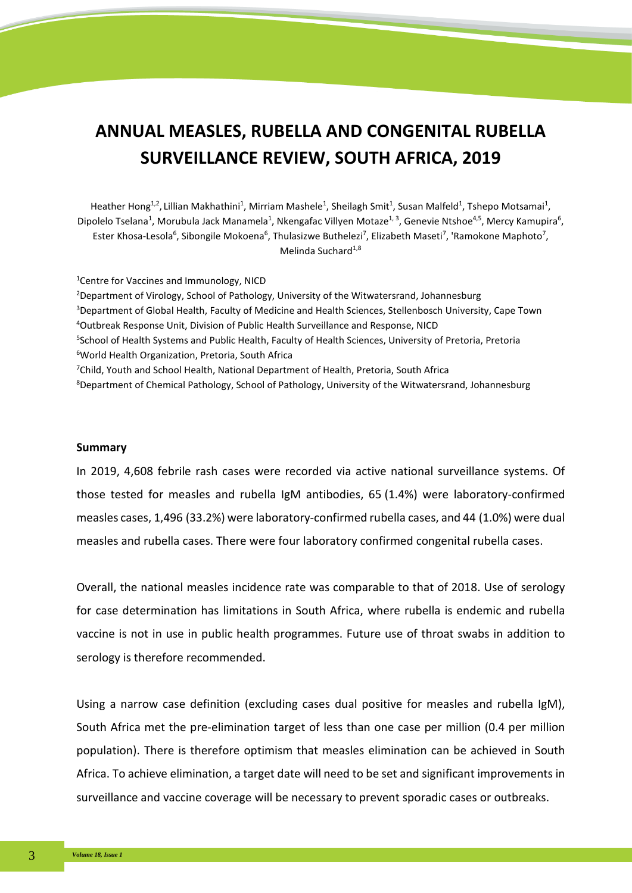# **ANNUAL MEASLES, RUBELLA AND CONGENITAL RUBELLA SURVEILLANCE REVIEW, SOUTH AFRICA, 2019**

Heather Hong<sup>1,2</sup>, Lillian Makhathini<sup>1</sup>, Mirriam Mashele<sup>1</sup>, Sheilagh Smit<sup>1</sup>, Susan Malfeld<sup>1</sup>, Tshepo Motsamai<sup>1</sup>, Dipolelo Tselana<sup>1</sup>, Morubula Jack Manamela<sup>1</sup>, Nkengafac Villyen Motaze<sup>1, 3</sup>, Genevie Ntshoe<sup>4,5</sup>, Mercy Kamupira<sup>6</sup>, Ester Khosa-Lesola<sup>6</sup>, Sibongile Mokoena<sup>6</sup>, Thulasizwe Buthelezi<sup>7</sup>, Elizabeth Maseti<sup>7</sup>, 'Ramokone Maphoto<sup>7</sup>, Melinda Suchard $1,8$ 

<sup>1</sup> Centre for Vaccines and Immunology, NICD <sup>2</sup>Department of Virology, School of Pathology, University of the Witwatersrand, Johannesburg 3 Department of Global Health, Faculty of Medicine and Health Sciences, Stellenbosch University, Cape Town 4 Outbreak Response Unit, Division of Public Health Surveillance and Response, NICD <sup>5</sup>School of Health Systems and Public Health, Faculty of Health Sciences, University of Pretoria, Pretoria 6 World Health Organization, Pretoria, South Africa <sup>7</sup>Child, Youth and School Health, National Department of Health, Pretoria, South Africa 8 Department of Chemical Pathology, School of Pathology, University of the Witwatersrand, Johannesburg

#### **Summary**

In 2019, 4,608 febrile rash cases were recorded via active national surveillance systems. Of those tested for measles and rubella IgM antibodies, 65 (1.4%) were laboratory-confirmed measles cases, 1,496 (33.2%) were laboratory-confirmed rubella cases, and 44 (1.0%) were dual measles and rubella cases. There were four laboratory confirmed congenital rubella cases.

Overall, the national measles incidence rate was comparable to that of 2018. Use of serology for case determination has limitations in South Africa, where rubella is endemic and rubella vaccine is not in use in public health programmes. Future use of throat swabs in addition to serology is therefore recommended.

Using a narrow case definition (excluding cases dual positive for measles and rubella IgM), South Africa met the pre-elimination target of less than one case per million (0.4 per million population). There is therefore optimism that measles elimination can be achieved in South Africa. To achieve elimination, a target date will need to be set and significant improvements in surveillance and vaccine coverage will be necessary to prevent sporadic cases or outbreaks.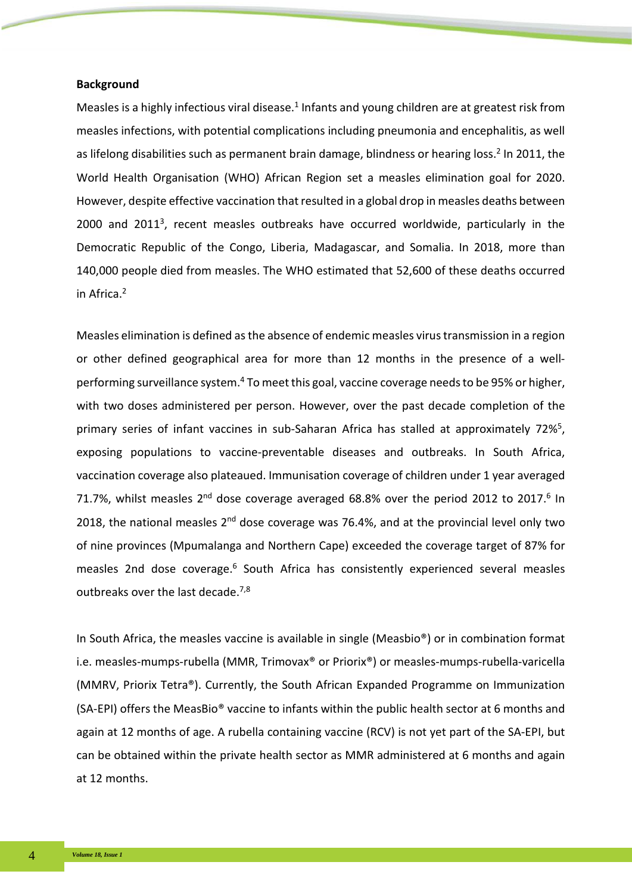## **Background**

Measles is a highly infectious viral disease.<sup>1</sup> Infants and young children are at greatest risk from measles infections, with potential complications including pneumonia and encephalitis, as well as lifelong disabilities such as permanent brain damage, blindness or hearing loss.<sup>2</sup> In 2011, the World Health Organisation (WHO) African Region set a measles elimination goal for 2020. However, despite effective vaccination that resulted in a global drop in measles deaths between 2000 and 20113, recent measles outbreaks have occurred worldwide, particularly in the Democratic Republic of the Congo, Liberia, Madagascar, and Somalia. In 2018, more than 140,000 people died from measles. The WHO estimated that 52,600 of these deaths occurred in Africa.<sup>2</sup>

Measles elimination is defined as the absence of endemic measles virus transmission in a region or other defined geographical area for more than 12 months in the presence of a wellperforming surveillance system.<sup>4</sup> To meet this goal, vaccine coverage needs to be 95% or higher, with two doses administered per person. However, over the past decade completion of the primary series of infant vaccines in sub-Saharan Africa has stalled at approximately 72%<sup>5</sup>, exposing populations to vaccine-preventable diseases and outbreaks. In South Africa, vaccination coverage also plateaued. Immunisation coverage of children under 1 year averaged 71.7%, whilst measles  $2^{nd}$  dose coverage averaged 68.8% over the period 2012 to 2017.<sup>6</sup> In 2018, the national measles  $2<sup>nd</sup>$  dose coverage was 76.4%, and at the provincial level only two of nine provinces (Mpumalanga and Northern Cape) exceeded the coverage target of 87% for measles 2nd dose coverage.<sup>6</sup> South Africa has consistently experienced several measles outbreaks over the last decade.<sup>7,8</sup>

In South Africa, the measles vaccine is available in single (Measbio®) or in combination format i.e. measles-mumps-rubella (MMR, Trimovax® or Priorix®) or measles-mumps-rubella-varicella (MMRV, Priorix Tetra®). Currently, the South African Expanded Programme on Immunization (SA-EPI) offers the MeasBio® vaccine to infants within the public health sector at 6 months and again at 12 months of age. A rubella containing vaccine (RCV) is not yet part of the SA-EPI, but can be obtained within the private health sector as MMR administered at 6 months and again at 12 months.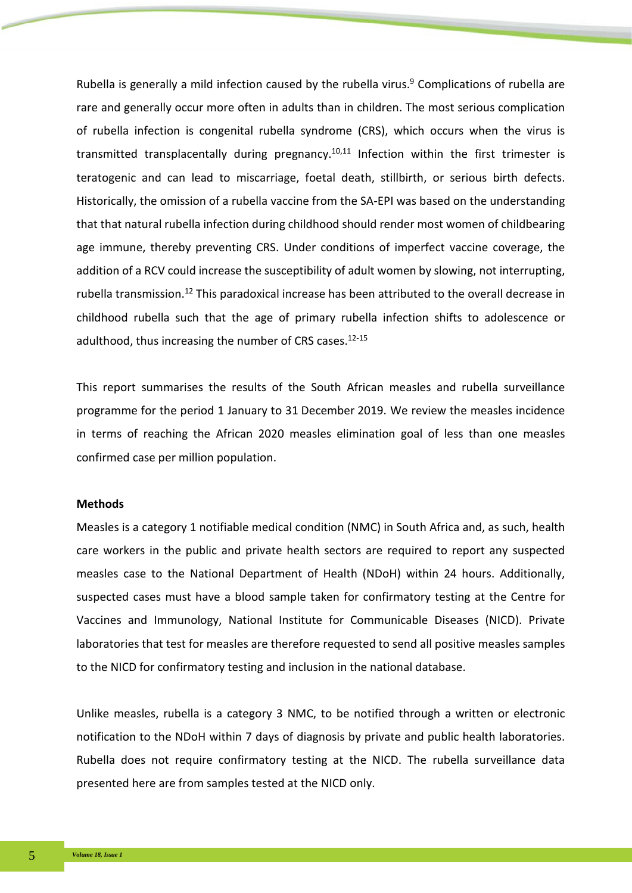Rubella is generally a mild infection caused by the rubella virus.<sup>9</sup> Complications of rubella are rare and generally occur more often in adults than in children. The most serious complication of rubella infection is congenital rubella syndrome (CRS), which occurs when the virus is transmitted transplacentally during pregnancy.<sup>10,11</sup> Infection within the first trimester is teratogenic and can lead to miscarriage, foetal death, stillbirth, or serious birth defects. Historically, the omission of a rubella vaccine from the SA-EPI was based on the understanding that that natural rubella infection during childhood should render most women of childbearing age immune, thereby preventing CRS. Under conditions of imperfect vaccine coverage, the addition of a RCV could increase the susceptibility of adult women by slowing, not interrupting, rubella transmission.12 This paradoxical increase has been attributed to the overall decrease in childhood rubella such that the age of primary rubella infection shifts to adolescence or adulthood, thus increasing the number of CRS cases.<sup>12-15</sup>

This report summarises the results of the South African measles and rubella surveillance programme for the period 1 January to 31 December 2019. We review the measles incidence in terms of reaching the African 2020 measles elimination goal of less than one measles confirmed case per million population.

## **Methods**

Measles is a category 1 notifiable medical condition (NMC) in South Africa and, as such, health care workers in the public and private health sectors are required to report any suspected measles case to the National Department of Health (NDoH) within 24 hours. Additionally, suspected cases must have a blood sample taken for confirmatory testing at the Centre for Vaccines and Immunology, National Institute for Communicable Diseases (NICD). Private laboratories that test for measles are therefore requested to send all positive measles samples to the NICD for confirmatory testing and inclusion in the national database.

Unlike measles, rubella is a category 3 NMC, to be notified through a written or electronic notification to the NDoH within 7 days of diagnosis by private and public health laboratories. Rubella does not require confirmatory testing at the NICD. The rubella surveillance data presented here are from samples tested at the NICD only.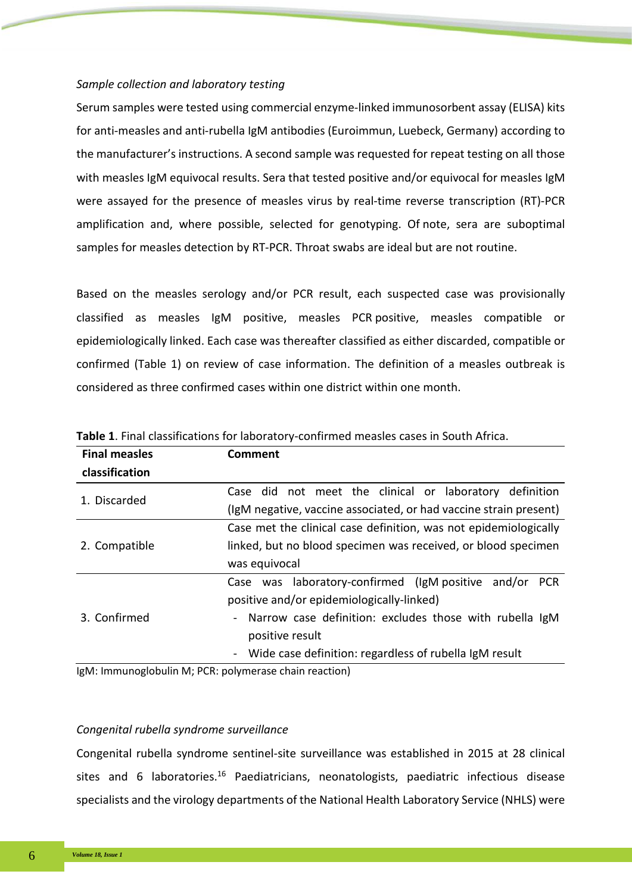## *Sample collection and laboratory testing*

Serum samples were tested using commercial enzyme-linked immunosorbent assay (ELISA) kits for anti-measles and anti-rubella IgM antibodies (Euroimmun, Luebeck, Germany) according to the manufacturer's instructions. A second sample was requested for repeat testing on all those with measles IgM equivocal results. Sera that tested positive and/or equivocal for measles IgM were assayed for the presence of measles virus by real-time reverse transcription (RT)-PCR amplification and, where possible, selected for genotyping. Of note, sera are suboptimal samples for measles detection by RT-PCR. Throat swabs are ideal but are not routine.

Based on the measles serology and/or PCR result, each suspected case was provisionally classified as measles IgM positive, measles PCR positive, measles compatible or epidemiologically linked. Each case was thereafter classified as either discarded, compatible or confirmed (Table 1) on review of case information. The definition of a measles outbreak is considered as three confirmed cases within one district within one month.

| <b>Final measles</b> | <b>Comment</b>                                                    |  |  |  |  |  |
|----------------------|-------------------------------------------------------------------|--|--|--|--|--|
| classification       |                                                                   |  |  |  |  |  |
| 1. Discarded         | not meet the clinical or laboratory definition<br>Case did        |  |  |  |  |  |
|                      | (IgM negative, vaccine associated, or had vaccine strain present) |  |  |  |  |  |
| 2. Compatible        | Case met the clinical case definition, was not epidemiologically  |  |  |  |  |  |
|                      | linked, but no blood specimen was received, or blood specimen     |  |  |  |  |  |
|                      | was equivocal                                                     |  |  |  |  |  |
| 3. Confirmed         | Case was laboratory-confirmed (IgM positive and/or<br><b>PCR</b>  |  |  |  |  |  |
|                      | positive and/or epidemiologically-linked)                         |  |  |  |  |  |
|                      | Narrow case definition: excludes those with rubella IgM<br>-      |  |  |  |  |  |
|                      | positive result                                                   |  |  |  |  |  |
|                      | - Wide case definition: regardless of rubella IgM result          |  |  |  |  |  |

**Table 1**. Final classifications for laboratory-confirmed measles cases in South Africa.

IgM: Immunoglobulin M; PCR: polymerase chain reaction)

#### *Congenital rubella syndrome surveillance*

Congenital rubella syndrome sentinel-site surveillance was established in 2015 at 28 clinical sites and 6 laboratories.<sup>16</sup> Paediatricians, neonatologists, paediatric infectious disease specialists and the virology departments of the National Health Laboratory Service (NHLS) were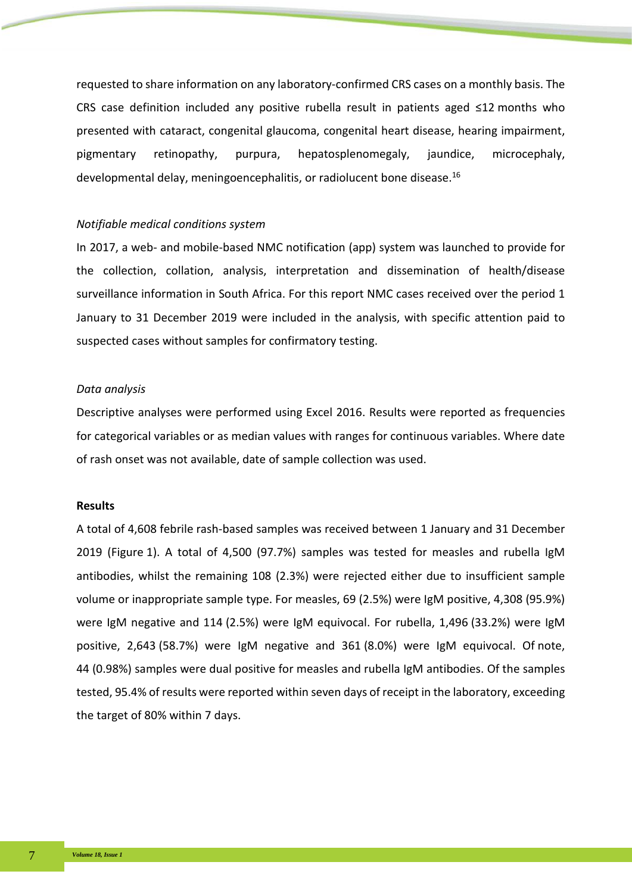requested to share information on any laboratory-confirmed CRS cases on a monthly basis. The CRS case definition included any positive rubella result in patients aged ≤12 months who presented with cataract, congenital glaucoma, congenital heart disease, hearing impairment, pigmentary retinopathy, purpura, hepatosplenomegaly, jaundice, microcephaly, developmental delay, meningoencephalitis, or radiolucent bone disease.16

## *Notifiable medical conditions system*

In 2017, a web- and mobile-based NMC notification (app) system was launched to provide for the collection, collation, analysis, interpretation and dissemination of health/disease surveillance information in South Africa. For this report NMC cases received over the period 1 January to 31 December 2019 were included in the analysis, with specific attention paid to suspected cases without samples for confirmatory testing.

# *Data analysis*

Descriptive analyses were performed using Excel 2016. Results were reported as frequencies for categorical variables or as median values with ranges for continuous variables. Where date of rash onset was not available, date of sample collection was used.

## **Results**

A total of 4,608 febrile rash-based samples was received between 1 January and 31 December 2019 (Figure 1). A total of 4,500 (97.7%) samples was tested for measles and rubella IgM antibodies, whilst the remaining 108 (2.3%) were rejected either due to insufficient sample volume or inappropriate sample type. For measles, 69 (2.5%) were IgM positive, 4,308 (95.9%) were IgM negative and 114 (2.5%) were IgM equivocal. For rubella, 1,496 (33.2%) were IgM positive, 2,643 (58.7%) were IgM negative and 361 (8.0%) were IgM equivocal. Of note, 44 (0.98%) samples were dual positive for measles and rubella IgM antibodies. Of the samples tested, 95.4% of results were reported within seven days of receipt in the laboratory, exceeding the target of 80% within 7 days.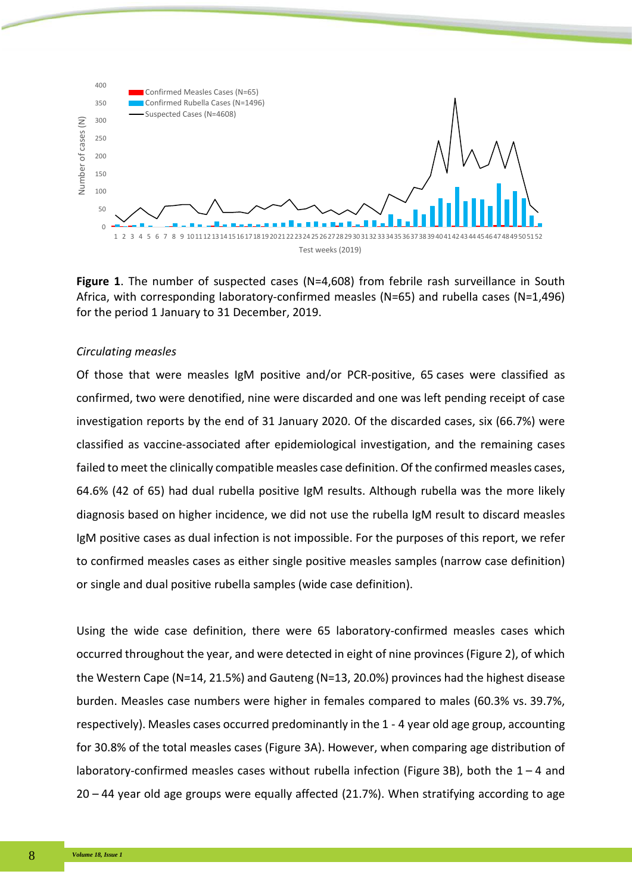

**Figure 1**. The number of suspected cases (N=4,608) from febrile rash surveillance in South Africa, with corresponding laboratory-confirmed measles (N=65) and rubella cases (N=1,496) for the period 1 January to 31 December, 2019.

## *Circulating measles*

Of those that were measles IgM positive and/or PCR-positive, 65 cases were classified as confirmed, two were denotified, nine were discarded and one was left pending receipt of case investigation reports by the end of 31 January 2020. Of the discarded cases, six (66.7%) were classified as vaccine-associated after epidemiological investigation, and the remaining cases failed to meet the clinically compatible measles case definition. Of the confirmed measles cases, 64.6% (42 of 65) had dual rubella positive IgM results. Although rubella was the more likely diagnosis based on higher incidence, we did not use the rubella IgM result to discard measles IgM positive cases as dual infection is not impossible. For the purposes of this report, we refer to confirmed measles cases as either single positive measles samples (narrow case definition) or single and dual positive rubella samples (wide case definition).

Using the wide case definition, there were 65 laboratory-confirmed measles cases which occurred throughout the year, and were detected in eight of nine provinces (Figure 2), of which the Western Cape (N=14, 21.5%) and Gauteng (N=13, 20.0%) provinces had the highest disease burden. Measles case numbers were higher in females compared to males (60.3% vs. 39.7%, respectively). Measles cases occurred predominantly in the 1 - 4 year old age group, accounting for 30.8% of the total measles cases (Figure 3A). However, when comparing age distribution of laboratory-confirmed measles cases without rubella infection (Figure 3B), both the  $1 - 4$  and 20 – 44 year old age groups were equally affected (21.7%). When stratifying according to age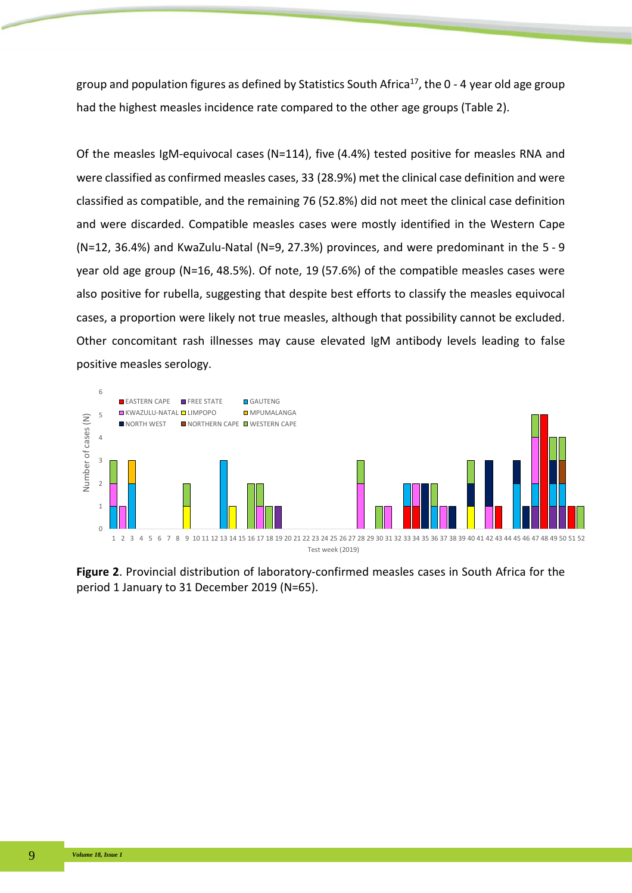group and population figures as defined by Statistics South Africa<sup>17</sup>, the 0 - 4 year old age group had the highest measles incidence rate compared to the other age groups (Table 2).

Of the measles IgM-equivocal cases (N=114), five (4.4%) tested positive for measles RNA and were classified as confirmed measles cases, 33 (28.9%) met the clinical case definition and were classified as compatible, and the remaining 76 (52.8%) did not meet the clinical case definition and were discarded. Compatible measles cases were mostly identified in the Western Cape (N=12, 36.4%) and KwaZulu-Natal (N=9, 27.3%) provinces, and were predominant in the 5 - 9 year old age group (N=16, 48.5%). Of note, 19 (57.6%) of the compatible measles cases were also positive for rubella, suggesting that despite best efforts to classify the measles equivocal cases, a proportion were likely not true measles, although that possibility cannot be excluded. Other concomitant rash illnesses may cause elevated IgM antibody levels leading to false positive measles serology.



**Figure 2**. Provincial distribution of laboratory-confirmed measles cases in South Africa for the period 1 January to 31 December 2019 (N=65).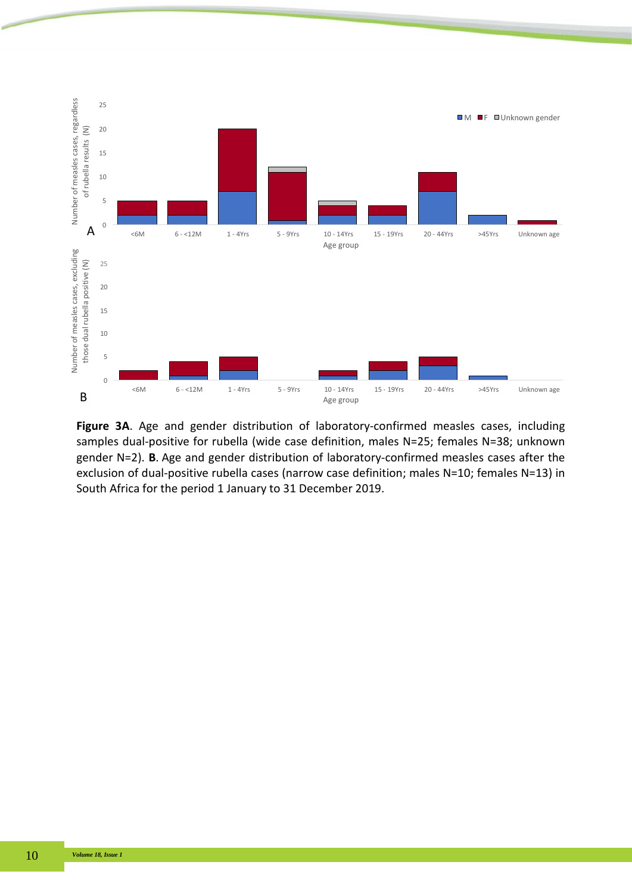

**Figure 3A**. Age and gender distribution of laboratory-confirmed measles cases, including samples dual-positive for rubella (wide case definition, males N=25; females N=38; unknown gender N=2). **B**. Age and gender distribution of laboratory-confirmed measles cases after the exclusion of dual-positive rubella cases (narrow case definition; males N=10; females N=13) in South Africa for the period 1 January to 31 December 2019.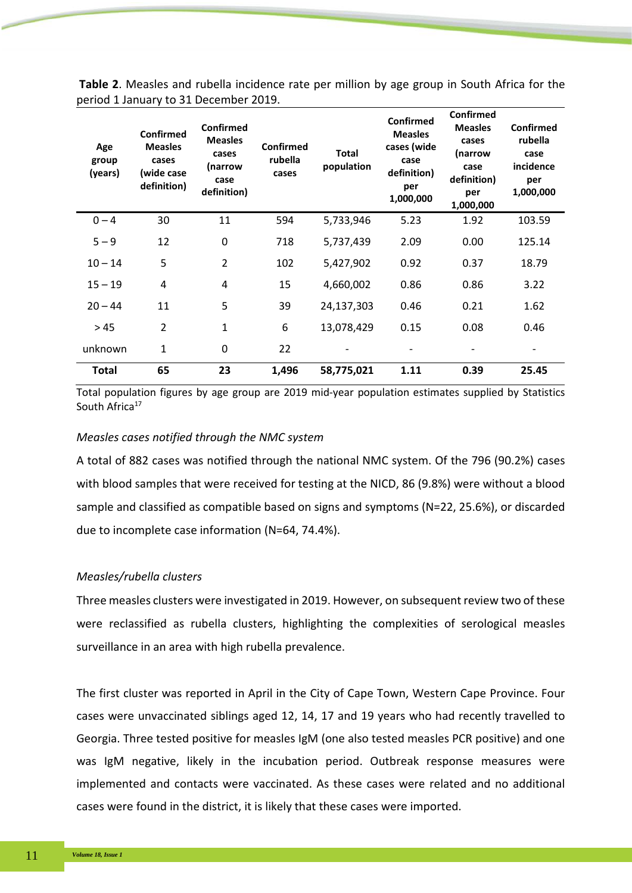| Age<br>group<br>(years) | Confirmed<br><b>Measles</b><br>cases<br>(wide case<br>definition) | <b>Confirmed</b><br><b>Measles</b><br>cases<br>(narrow<br>case<br>definition) | Confirmed<br>rubella<br>cases | <b>Total</b><br>population | <b>Confirmed</b><br><b>Measles</b><br>cases (wide<br>case<br>definition)<br>per<br>1,000,000 | Confirmed<br><b>Measles</b><br>cases<br>(narrow<br>case<br>definition)<br>per<br>1,000,000 | Confirmed<br>rubella<br>case<br>incidence<br>per<br>1,000,000 |
|-------------------------|-------------------------------------------------------------------|-------------------------------------------------------------------------------|-------------------------------|----------------------------|----------------------------------------------------------------------------------------------|--------------------------------------------------------------------------------------------|---------------------------------------------------------------|
| $0 - 4$                 | 30                                                                | 11                                                                            | 594                           | 5,733,946                  | 5.23                                                                                         | 1.92                                                                                       | 103.59                                                        |
| $5 - 9$                 | 12                                                                | 0                                                                             | 718                           | 5,737,439                  | 2.09                                                                                         | 0.00                                                                                       | 125.14                                                        |
| $10 - 14$               | 5                                                                 | $\overline{2}$                                                                | 102                           | 5,427,902                  | 0.92                                                                                         | 0.37                                                                                       | 18.79                                                         |
| $15 - 19$               | 4                                                                 | 4                                                                             | 15                            | 4,660,002                  | 0.86                                                                                         | 0.86                                                                                       | 3.22                                                          |
| $20 - 44$               | 11                                                                | 5                                                                             | 39                            | 24,137,303                 | 0.46                                                                                         | 0.21                                                                                       | 1.62                                                          |
| >45                     | $\overline{2}$                                                    | $\mathbf{1}$                                                                  | 6                             | 13,078,429                 | 0.15                                                                                         | 0.08                                                                                       | 0.46                                                          |
| unknown                 | 1                                                                 | 0                                                                             | 22                            |                            |                                                                                              |                                                                                            |                                                               |
| Total                   | 65                                                                | 23                                                                            | 1,496                         | 58,775,021                 | 1.11                                                                                         | 0.39                                                                                       | 25.45                                                         |

**Table 2**. Measles and rubella incidence rate per million by age group in South Africa for the period 1 January to 31 December 2019.

Total population figures by age group are 2019 mid-year population estimates supplied by Statistics South Africa<sup>17</sup>

# *Measles cases notified through the NMC system*

A total of 882 cases was notified through the national NMC system. Of the 796 (90.2%) cases with blood samples that were received for testing at the NICD, 86 (9.8%) were without a blood sample and classified as compatible based on signs and symptoms (N=22, 25.6%), or discarded due to incomplete case information (N=64, 74.4%).

# *Measles/rubella clusters*

Three measles clusters were investigated in 2019. However, on subsequent review two of these were reclassified as rubella clusters, highlighting the complexities of serological measles surveillance in an area with high rubella prevalence.

The first cluster was reported in April in the City of Cape Town, Western Cape Province. Four cases were unvaccinated siblings aged 12, 14, 17 and 19 years who had recently travelled to Georgia. Three tested positive for measles IgM (one also tested measles PCR positive) and one was IgM negative, likely in the incubation period. Outbreak response measures were implemented and contacts were vaccinated. As these cases were related and no additional cases were found in the district, it is likely that these cases were imported.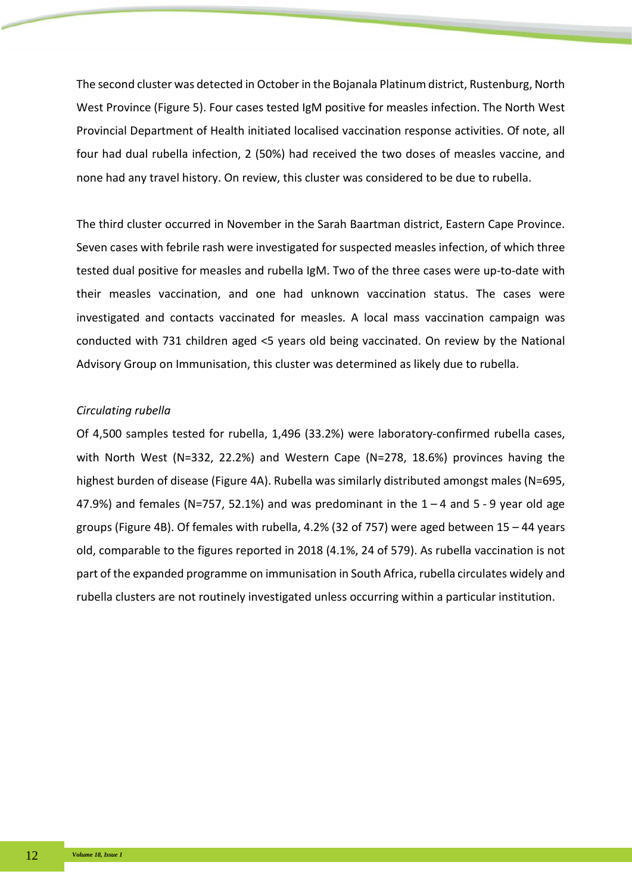The second cluster was detected in October in the Bojanala Platinum district, Rustenburg, North West Province (Figure 5). Four cases tested IgM positive for measles infection. The North West Provincial Department of Health initiated localised vaccination response activities. Of note, all four had dual rubella infection, 2 (50%) had received the two doses of measles vaccine, and none had any travel history. On review, this cluster was considered to be due to rubella.

The third cluster occurred in November in the Sarah Baartman district, Eastern Cape Province. Seven cases with febrile rash were investigated for suspected measles infection, of which three tested dual positive for measles and rubella IgM. Two of the three cases were up-to-date with their measles vaccination, and one had unknown vaccination status. The cases were investigated and contacts vaccinated for measles. A local mass vaccination campaign was conducted with 731 children aged <5 years old being vaccinated. On review by the National Advisory Group on Immunisation, this cluster was determined as likely due to rubella.

# *Circulating rubella*

Of 4,500 samples tested for rubella, 1,496 (33.2%) were laboratory-confirmed rubella cases, with North West (N=332, 22.2%) and Western Cape (N=278, 18.6%) provinces having the highest burden of disease (Figure 4A). Rubella was similarly distributed amongst males (N=695, 47.9%) and females (N=757, 52.1%) and was predominant in the  $1 - 4$  and  $5 - 9$  year old age groups (Figure 4B). Of females with rubella, 4.2% (32 of 757) were aged between 15 – 44 years old, comparable to the figures reported in 2018 (4.1%, 24 of 579). As rubella vaccination is not part of the expanded programme on immunisation in South Africa, rubella circulates widely and rubella clusters are not routinely investigated unless occurring within a particular institution.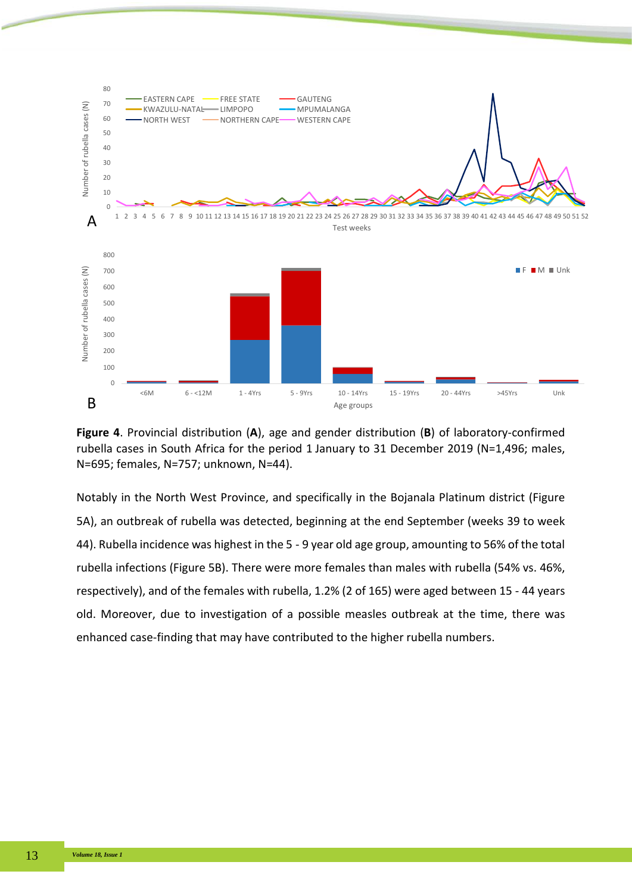

**Figure 4**. Provincial distribution (**A**), age and gender distribution (**B**) of laboratory-confirmed rubella cases in South Africa for the period 1 January to 31 December 2019 (N=1,496; males, N=695; females, N=757; unknown, N=44).

Notably in the North West Province, and specifically in the Bojanala Platinum district (Figure 5A), an outbreak of rubella was detected, beginning at the end September (weeks 39 to week 44). Rubella incidence was highest in the 5 - 9 year old age group, amounting to 56% of the total rubella infections (Figure 5B). There were more females than males with rubella (54% vs. 46%, respectively), and of the females with rubella, 1.2% (2 of 165) were aged between 15 - 44 years old. Moreover, due to investigation of a possible measles outbreak at the time, there was enhanced case-finding that may have contributed to the higher rubella numbers.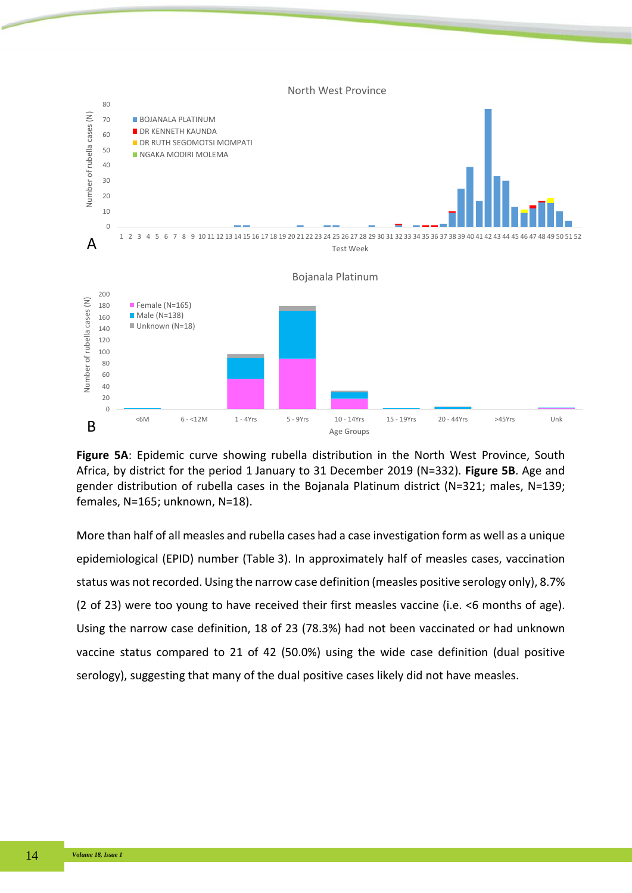

**Figure 5A**: Epidemic curve showing rubella distribution in the North West Province, South Africa, by district for the period 1 January to 31 December 2019 (N=332). **Figure 5B**. Age and gender distribution of rubella cases in the Bojanala Platinum district (N=321; males, N=139; females, N=165; unknown, N=18).

More than half of all measles and rubella cases had a case investigation form as well as a unique epidemiological (EPID) number (Table 3). In approximately half of measles cases, vaccination status was not recorded. Using the narrow case definition (measles positive serology only), 8.7% (2 of 23) were too young to have received their first measles vaccine (i.e. <6 months of age). Using the narrow case definition, 18 of 23 (78.3%) had not been vaccinated or had unknown vaccine status compared to 21 of 42 (50.0%) using the wide case definition (dual positive serology), suggesting that many of the dual positive cases likely did not have measles.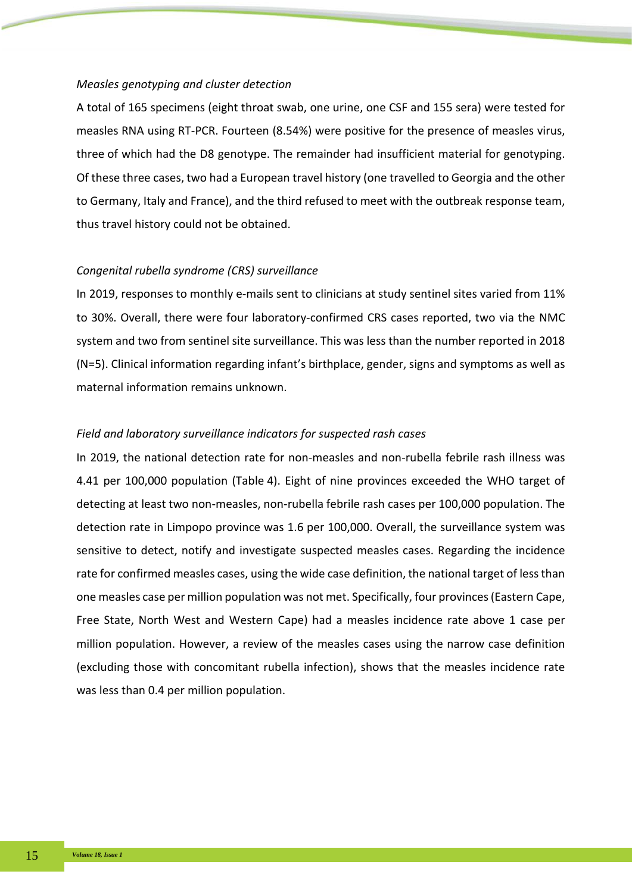## *Measles genotyping and cluster detection*

A total of 165 specimens (eight throat swab, one urine, one CSF and 155 sera) were tested for measles RNA using RT-PCR. Fourteen (8.54%) were positive for the presence of measles virus, three of which had the D8 genotype. The remainder had insufficient material for genotyping. Of these three cases, two had a European travel history (one travelled to Georgia and the other to Germany, Italy and France), and the third refused to meet with the outbreak response team, thus travel history could not be obtained.

## *Congenital rubella syndrome (CRS) surveillance*

In 2019, responses to monthly e-mails sent to clinicians at study sentinel sites varied from 11% to 30%. Overall, there were four laboratory-confirmed CRS cases reported, two via the NMC system and two from sentinel site surveillance. This was less than the number reported in 2018 (N=5). Clinical information regarding infant's birthplace, gender, signs and symptoms as well as maternal information remains unknown.

# *Field and laboratory surveillance indicators for suspected rash cases*

In 2019, the national detection rate for non-measles and non-rubella febrile rash illness was 4.41 per 100,000 population (Table 4). Eight of nine provinces exceeded the WHO target of detecting at least two non-measles, non-rubella febrile rash cases per 100,000 population. The detection rate in Limpopo province was 1.6 per 100,000. Overall, the surveillance system was sensitive to detect, notify and investigate suspected measles cases. Regarding the incidence rate for confirmed measles cases, using the wide case definition, the national target of less than one measles case per million population was not met. Specifically, four provinces (Eastern Cape, Free State, North West and Western Cape) had a measles incidence rate above 1 case per million population. However, a review of the measles cases using the narrow case definition (excluding those with concomitant rubella infection), shows that the measles incidence rate was less than 0.4 per million population.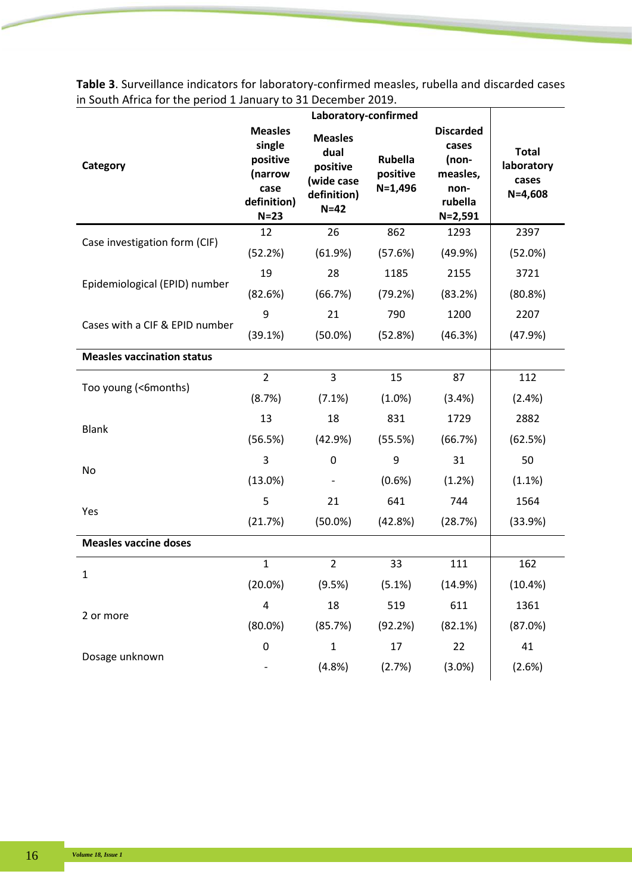|                                   | Laboratory-confirmed                                                             |                                                                           |                                  |                                                                                  |                                                    |
|-----------------------------------|----------------------------------------------------------------------------------|---------------------------------------------------------------------------|----------------------------------|----------------------------------------------------------------------------------|----------------------------------------------------|
| Category                          | <b>Measles</b><br>single<br>positive<br>(narrow<br>case<br>definition)<br>$N=23$ | <b>Measles</b><br>dual<br>positive<br>(wide case<br>definition)<br>$N=42$ | Rubella<br>positive<br>$N=1,496$ | <b>Discarded</b><br>cases<br>(non-<br>measles,<br>non-<br>rubella<br>$N = 2,591$ | <b>Total</b><br>laboratory<br>cases<br>$N = 4,608$ |
| Case investigation form (CIF)     | 12                                                                               | 26                                                                        | 862                              | 1293                                                                             | 2397                                               |
|                                   | (52.2%)                                                                          | (61.9%)                                                                   | (57.6%)                          | (49.9%                                                                           | (52.0%)                                            |
| Epidemiological (EPID) number     | 19                                                                               | 28                                                                        | 1185                             | 2155                                                                             | 3721                                               |
|                                   | (82.6%)                                                                          | (66.7%)                                                                   | (79.2%)                          | (83.2%)                                                                          | (80.8%)                                            |
| Cases with a CIF & EPID number    | 9                                                                                | 21                                                                        | 790                              | 1200                                                                             | 2207                                               |
|                                   | (39.1%)                                                                          | $(50.0\%)$                                                                | (52.8%)                          | (46.3%)                                                                          | (47.9%)                                            |
| <b>Measles vaccination status</b> |                                                                                  |                                                                           |                                  |                                                                                  |                                                    |
| Too young (<6months)              | $\overline{2}$                                                                   | 3                                                                         | 15                               | 87                                                                               | 112                                                |
|                                   | (8.7%)                                                                           | (7.1%)                                                                    | $(1.0\%)$                        | (3.4%)                                                                           | (2.4%)                                             |
| <b>Blank</b>                      | 13                                                                               | 18                                                                        | 831                              | 1729                                                                             | 2882                                               |
|                                   | (56.5%)                                                                          | (42.9%)                                                                   | (55.5%)                          | (66.7%)                                                                          | (62.5%)                                            |
| No                                | 3                                                                                | 0                                                                         | 9                                | 31                                                                               | 50                                                 |
|                                   | (13.0%)                                                                          |                                                                           | (0.6%                            | (1.2%)                                                                           | (1.1%)                                             |
| Yes                               | 5                                                                                | 21                                                                        | 641                              | 744                                                                              | 1564                                               |
|                                   | (21.7%)                                                                          | $(50.0\%)$                                                                | (42.8%)                          | (28.7%)                                                                          | (33.9%)                                            |
| <b>Measles vaccine doses</b>      |                                                                                  |                                                                           |                                  |                                                                                  |                                                    |
| 1                                 | $\mathbf{1}$                                                                     | $\overline{2}$                                                            | 33                               | 111                                                                              | 162                                                |
|                                   | (20.0%)                                                                          | (9.5%)                                                                    | (5.1%)                           | (14.9%)                                                                          | (10.4%)                                            |
| 2 or more                         | $\overline{4}$                                                                   | 18                                                                        | 519                              | 611                                                                              | 1361                                               |
|                                   | $(80.0\%)$                                                                       | (85.7%)                                                                   | (92.2%)                          | (82.1%)                                                                          | (87.0%)                                            |
| Dosage unknown                    | $\mathbf 0$                                                                      | $\mathbf{1}$                                                              | 17                               | 22                                                                               | 41                                                 |
|                                   |                                                                                  | (4.8%)                                                                    | (2.7%)                           | (3.0%)                                                                           | (2.6%)                                             |

**Table 3**. Surveillance indicators for laboratory-confirmed measles, rubella and discarded cases in South Africa for the period 1 January to 31 December 2019.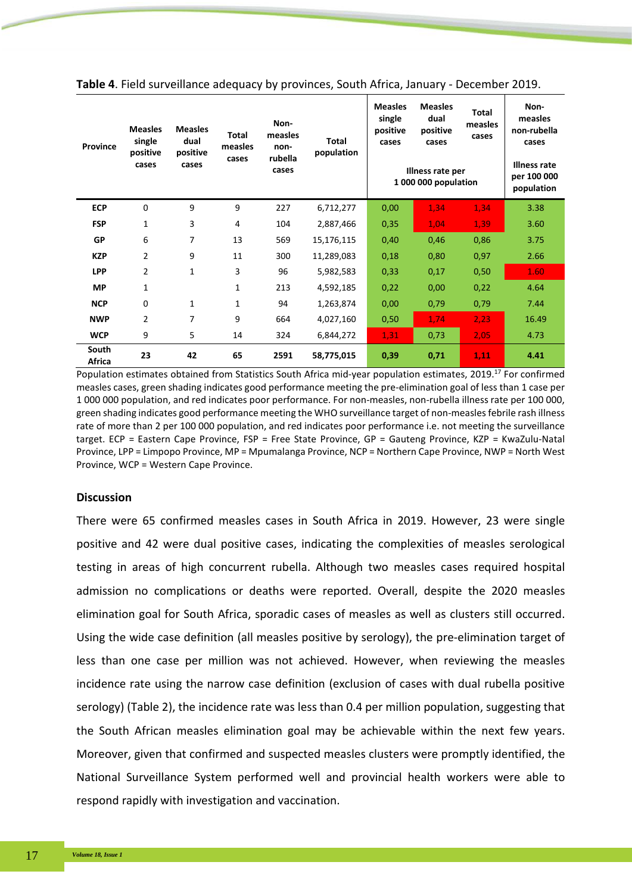| Province        | <b>Measles</b><br>single<br>positive<br>cases | <b>Measles</b><br>dual<br>positive<br>cases | <b>Total</b><br>measles<br>cases | Non-<br>measles<br>non-<br>rubella<br>cases | <b>Total</b><br>population | <b>Measles</b><br>single<br>positive<br>cases | <b>Measles</b><br>dual<br>positive<br>cases | Total<br>measles<br>cases | Non-<br>measles<br>non-rubella<br>cases |
|-----------------|-----------------------------------------------|---------------------------------------------|----------------------------------|---------------------------------------------|----------------------------|-----------------------------------------------|---------------------------------------------|---------------------------|-----------------------------------------|
|                 |                                               |                                             |                                  |                                             |                            | Illness rate per<br>1 000 000 population      | Illness rate<br>per 100 000<br>population   |                           |                                         |
| <b>ECP</b>      | 0                                             | 9                                           | 9                                | 227                                         | 6,712,277                  | 0,00                                          | 1,34                                        | 1,34                      | 3.38                                    |
| <b>FSP</b>      | 1                                             | 3                                           | 4                                | 104                                         | 2,887,466                  | 0,35                                          | 1,04                                        | 1,39                      | 3.60                                    |
| <b>GP</b>       | 6                                             | 7                                           | 13                               | 569                                         | 15,176,115                 | 0,40                                          | 0,46                                        | 0,86                      | 3.75                                    |
| <b>KZP</b>      | $\overline{2}$                                | 9                                           | 11                               | 300                                         | 11,289,083                 | 0,18                                          | 0,80                                        | 0,97                      | 2.66                                    |
| <b>LPP</b>      | $\overline{2}$                                | $\mathbf{1}$                                | 3                                | 96                                          | 5,982,583                  | 0,33                                          | 0,17                                        | 0,50                      | 1.60                                    |
| <b>MP</b>       | $\mathbf{1}$                                  |                                             | $\mathbf{1}$                     | 213                                         | 4,592,185                  | 0,22                                          | 0,00                                        | 0,22                      | 4.64                                    |
| <b>NCP</b>      | 0                                             | 1                                           | $\mathbf{1}$                     | 94                                          | 1,263,874                  | 0,00                                          | 0,79                                        | 0,79                      | 7.44                                    |
| <b>NWP</b>      | 2                                             | 7                                           | 9                                | 664                                         | 4,027,160                  | 0,50                                          | 1,74                                        | 2,23                      | 16.49                                   |
| <b>WCP</b>      | 9                                             | 5                                           | 14                               | 324                                         | 6,844,272                  | 1,31                                          | 0,73                                        | 2,05                      | 4.73                                    |
| South<br>Africa | 23                                            | 42                                          | 65                               | 2591                                        | 58,775,015                 | 0,39                                          | 0,71                                        | 1,11                      | 4.41                                    |

**Table 4**. Field surveillance adequacy by provinces, South Africa, January - December 2019.

Population estimates obtained from Statistics South Africa mid-year population estimates, 2019.17 For confirmed measles cases, green shading indicates good performance meeting the pre-elimination goal of less than 1 case per 1 000 000 population, and red indicates poor performance. For non-measles, non-rubella illness rate per 100 000, green shading indicates good performance meeting the WHO surveillance target of non-measles febrile rash illness rate of more than 2 per 100 000 population, and red indicates poor performance i.e. not meeting the surveillance target. ECP = Eastern Cape Province, FSP = Free State Province, GP = Gauteng Province, KZP = KwaZulu-Natal Province, LPP = Limpopo Province, MP = Mpumalanga Province, NCP = Northern Cape Province, NWP = North West Province, WCP = Western Cape Province.

## **Discussion**

There were 65 confirmed measles cases in South Africa in 2019. However, 23 were single positive and 42 were dual positive cases, indicating the complexities of measles serological testing in areas of high concurrent rubella. Although two measles cases required hospital admission no complications or deaths were reported. Overall, despite the 2020 measles elimination goal for South Africa, sporadic cases of measles as well as clusters still occurred. Using the wide case definition (all measles positive by serology), the pre-elimination target of less than one case per million was not achieved. However, when reviewing the measles incidence rate using the narrow case definition (exclusion of cases with dual rubella positive serology) (Table 2), the incidence rate was less than 0.4 per million population, suggesting that the South African measles elimination goal may be achievable within the next few years. Moreover, given that confirmed and suspected measles clusters were promptly identified, the National Surveillance System performed well and provincial health workers were able to respond rapidly with investigation and vaccination.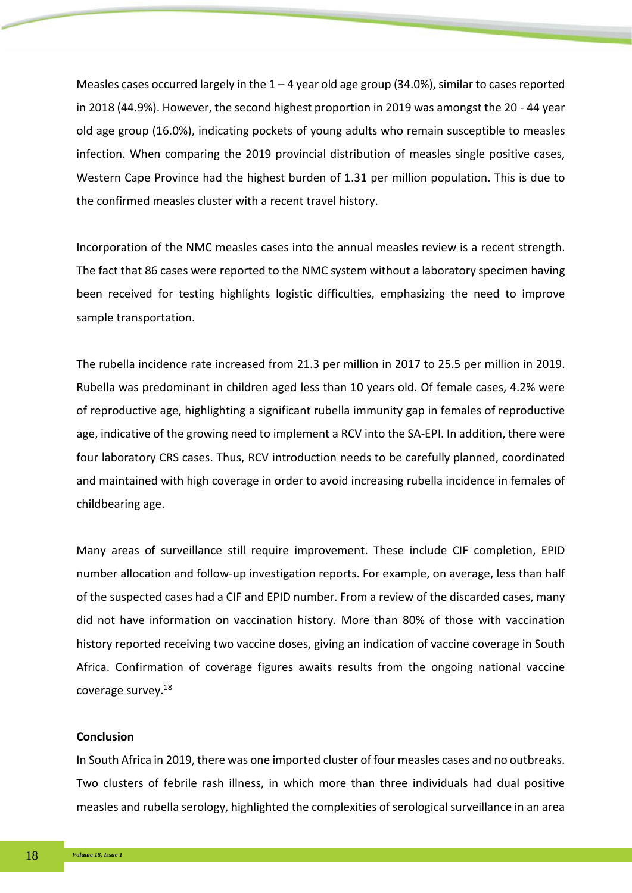Measles cases occurred largely in the  $1 - 4$  year old age group (34.0%), similar to cases reported in 2018 (44.9%). However, the second highest proportion in 2019 was amongst the 20 - 44 year old age group (16.0%), indicating pockets of young adults who remain susceptible to measles infection. When comparing the 2019 provincial distribution of measles single positive cases, Western Cape Province had the highest burden of 1.31 per million population. This is due to the confirmed measles cluster with a recent travel history.

Incorporation of the NMC measles cases into the annual measles review is a recent strength. The fact that 86 cases were reported to the NMC system without a laboratory specimen having been received for testing highlights logistic difficulties, emphasizing the need to improve sample transportation.

The rubella incidence rate increased from 21.3 per million in 2017 to 25.5 per million in 2019. Rubella was predominant in children aged less than 10 years old. Of female cases, 4.2% were of reproductive age, highlighting a significant rubella immunity gap in females of reproductive age, indicative of the growing need to implement a RCV into the SA-EPI. In addition, there were four laboratory CRS cases. Thus, RCV introduction needs to be carefully planned, coordinated and maintained with high coverage in order to avoid increasing rubella incidence in females of childbearing age.

Many areas of surveillance still require improvement. These include CIF completion, EPID number allocation and follow-up investigation reports. For example, on average, less than half of the suspected cases had a CIF and EPID number. From a review of the discarded cases, many did not have information on vaccination history. More than 80% of those with vaccination history reported receiving two vaccine doses, giving an indication of vaccine coverage in South Africa. Confirmation of coverage figures awaits results from the ongoing national vaccine coverage survey.18

# **Conclusion**

In South Africa in 2019, there was one imported cluster of four measles cases and no outbreaks. Two clusters of febrile rash illness, in which more than three individuals had dual positive measles and rubella serology, highlighted the complexities of serological surveillance in an area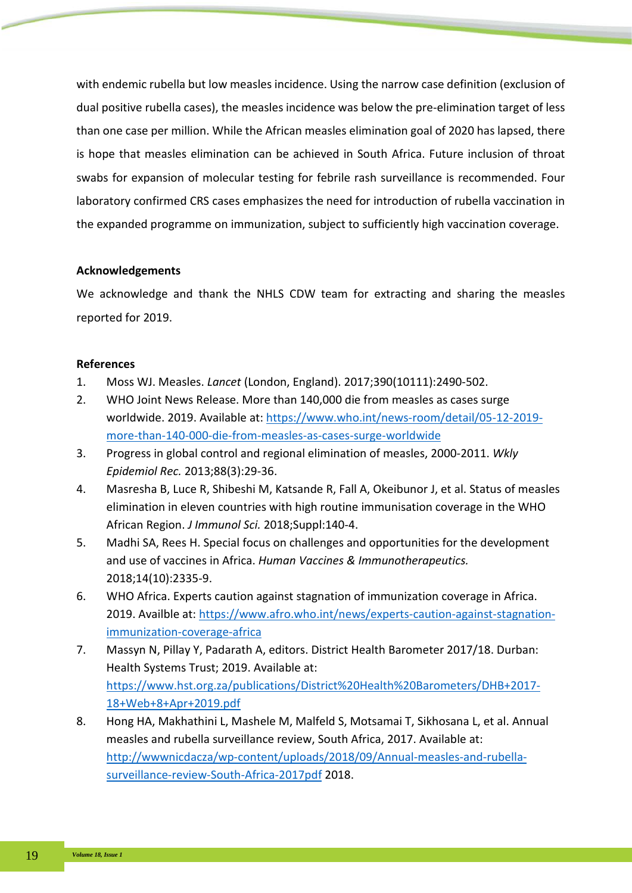with endemic rubella but low measles incidence. Using the narrow case definition (exclusion of dual positive rubella cases), the measles incidence was below the pre-elimination target of less than one case per million. While the African measles elimination goal of 2020 has lapsed, there is hope that measles elimination can be achieved in South Africa. Future inclusion of throat swabs for expansion of molecular testing for febrile rash surveillance is recommended. Four laboratory confirmed CRS cases emphasizes the need for introduction of rubella vaccination in the expanded programme on immunization, subject to sufficiently high vaccination coverage.

# **Acknowledgements**

We acknowledge and thank the NHLS CDW team for extracting and sharing the measles reported for 2019.

# **References**

- 1. Moss WJ. Measles. *Lancet* (London, England). 2017;390(10111):2490-502.
- 2. WHO Joint News Release. More than 140,000 die from measles as cases surge worldwide. 2019. Available at[: https://www.who.int/news-room/detail/05-12-2019](https://www.who.int/news-room/detail/05-12-2019-more-than-140-000-die-from-measles-as-cases-surge-worldwide) [more-than-140-000-die-from-measles-as-cases-surge-worldwide](https://www.who.int/news-room/detail/05-12-2019-more-than-140-000-die-from-measles-as-cases-surge-worldwide)
- 3. Progress in global control and regional elimination of measles, 2000-2011. *Wkly Epidemiol Rec.* 2013;88(3):29-36.
- 4. Masresha B, Luce R, Shibeshi M, Katsande R, Fall A, Okeibunor J, et al. Status of measles elimination in eleven countries with high routine immunisation coverage in the WHO African Region. *J Immunol Sci.* 2018;Suppl:140-4.
- 5. Madhi SA, Rees H. Special focus on challenges and opportunities for the development and use of vaccines in Africa. *Human Vaccines & Immunotherapeutics.* 2018;14(10):2335-9.
- 6. WHO Africa. Experts caution against stagnation of immunization coverage in Africa. 2019. Availble at: [https://www.afro.who.int/news/experts-caution-against-stagnation](https://www.afro.who.int/news/experts-caution-against-stagnation-immunization-coverage-africa)[immunization-coverage-africa](https://www.afro.who.int/news/experts-caution-against-stagnation-immunization-coverage-africa)
- 7. Massyn N, Pillay Y, Padarath A, editors. District Health Barometer 2017/18. Durban: Health Systems Trust; 2019. Available at: [https://www.hst.org.za/publications/District%20Health%20Barometers/DHB+2017-](https://www.hst.org.za/publications/District%20Health%20Barometers/DHB+2017-18+Web+8+Apr+2019.pdf) [18+Web+8+Apr+2019.pdf](https://www.hst.org.za/publications/District%20Health%20Barometers/DHB+2017-18+Web+8+Apr+2019.pdf)
- 8. Hong HA, Makhathini L, Mashele M, Malfeld S, Motsamai T, Sikhosana L, et al. Annual measles and rubella surveillance review, South Africa, 2017. Available at: [http://wwwnicdacza/wp-content/uploads/2018/09/Annual-measles-and-rubella](http://wwwnicdacza/wp-content/uploads/2018/09/Annual-measles-and-rubella-surveillance-review-South-Africa-2017pdf)[surveillance-review-South-Africa-2017pdf](http://wwwnicdacza/wp-content/uploads/2018/09/Annual-measles-and-rubella-surveillance-review-South-Africa-2017pdf) 2018.